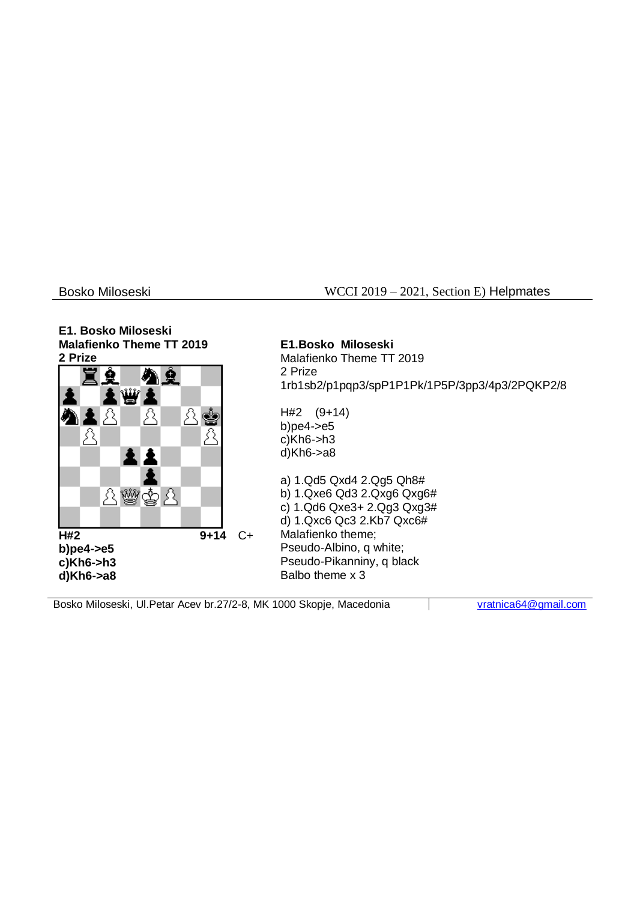## Bosko Miloseski WCCI 2019 – 2021, Section E) Helpmates

## **E1. Bosko Miloseski Malafienko Theme TT 2019 2 Prize**



**E1.Bosko Miloseski**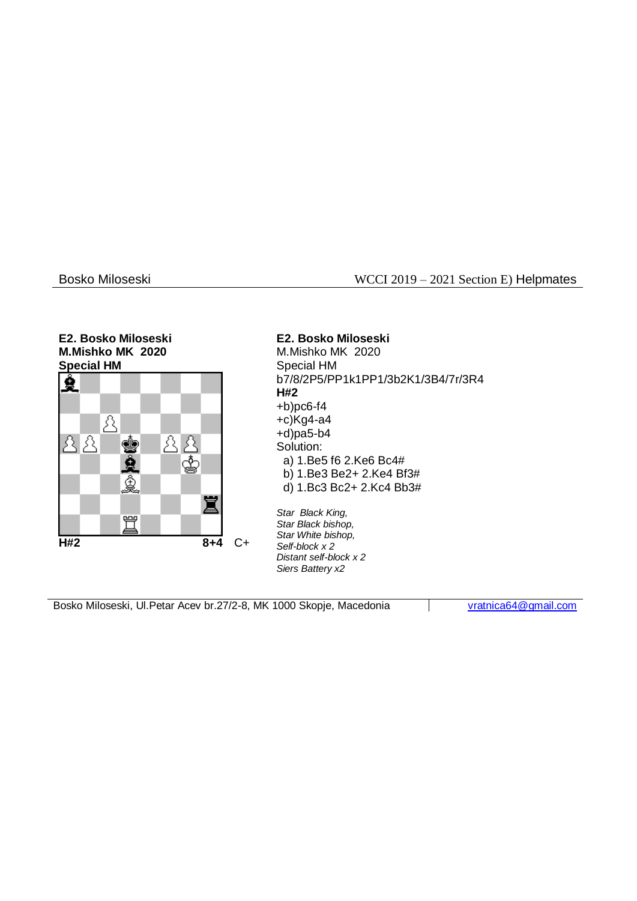# Bosko Miloseski WCCI 2019 – 2021 Section E) Helpmates

## **E2. Bosko Miloseski M.Mishko MK 2020 Special HM**



**E2. Bosko Miloseski** M.Mishko MK 2020 Special HM b7/8/2P5/PP1k1PP1/3b2K1/3B4/7r/3R4 **H#2** +b)pc6-f4  $+c)$ Kg4-a4 +d)pa5-b4 Solution: a) 1.Be5 f6 2.Ke6 Bc4# b) 1.Be3 Be2+ 2.Ke4 Bf3# d) 1.Bc3 Bc2+ 2.Kc4 Bb3# *Star Black King, Star Black bishop,*

*Star White bishop, Self-block x 2 Distant self-block x 2 Siers Battery x2*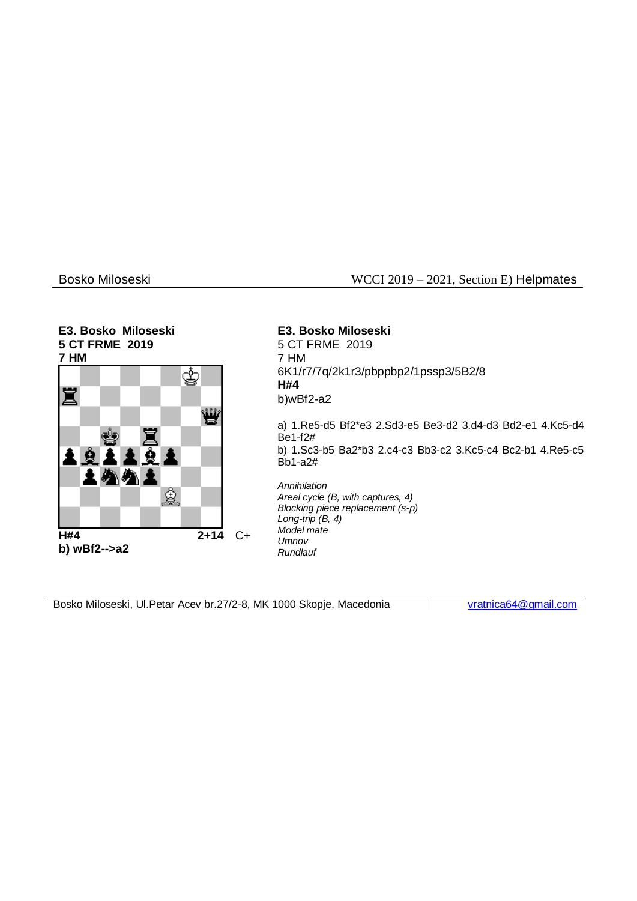# Bosko Miloseski WCCI 2019 – 2021, Section E) Helpmates

## **E3. Bosko Miloseski E3. Bosko Miloseski 5 CT FRME 2019** 5 CT FRME 2019 **7 HM** 7 HM 6K1/r7/7q/2k1r3/pbppbp2/1pssp3/5B2/8 r\$<br>® **H#4** 賞 b)wBf2-a2 Ŵ a) 1.Re5-d5 Bf2\*e3 2.Sd3-e5 Be3-d2 3.d4-d3 Bd2-e1 4.Kc5-d4 ¢þ Be1-f2# b) 1.Sc3-b5 Ba2\*b3 2.c4-c3 Bb3-c2 3.Kc5-c4 Bc2-b1 4.Re5-c5 121121 Bb1-a2# 主教教主 *Annihilation* ĝ. *Areal cycle (B, with captures, 4) Blocking piece replacement (s-p) Long-trip (B, 4) Model mate* **H#4 2+14** C+ *Umnov* **b) wBf2-->a2** *Rundlauf*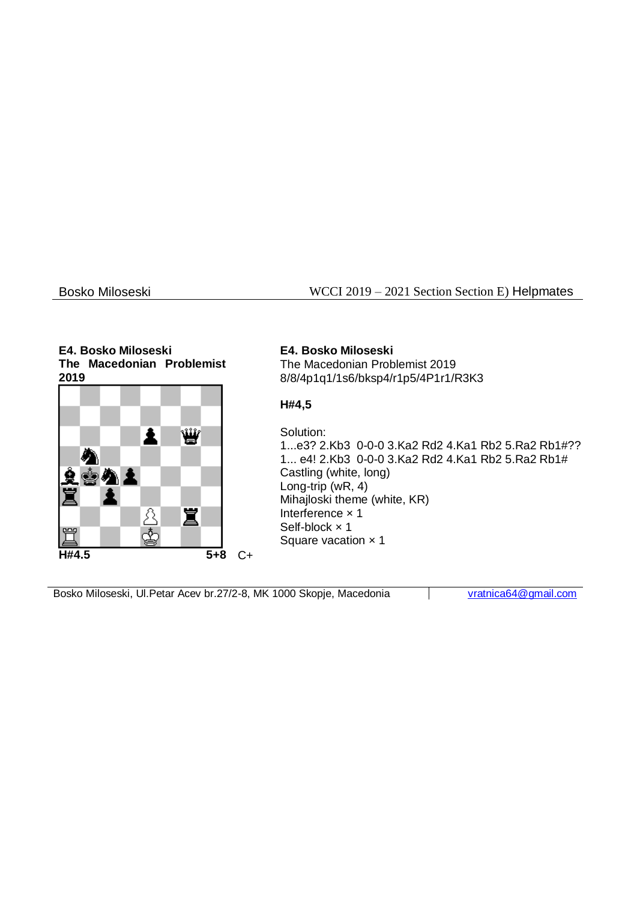# Bosko Miloseski WCCI 2019 – 2021 Section Section E) Helpmates

**E4. Bosko Miloseski The Macedonian Problemist 2019**



**E4. Bosko Miloseski** The Macedonian Problemist 2019 8/8/4p1q1/1s6/bksp4/r1p5/4P1r1/R3K3

## **H#4,5**

Solution: 1...e3? 2.Kb3 0-0-0 3.Ka2 Rd2 4.Ka1 Rb2 5.Ra2 Rb1#?? 1... e4! 2.Kb3 0-0-0 3.Ka2 Rd2 4.Ka1 Rb2 5.Ra2 Rb1# Castling (white, long) Long-trip (wR, 4) Mihajloski theme (white, KR) Interference × 1 Self-block  $\times$  1 Square vacation x 1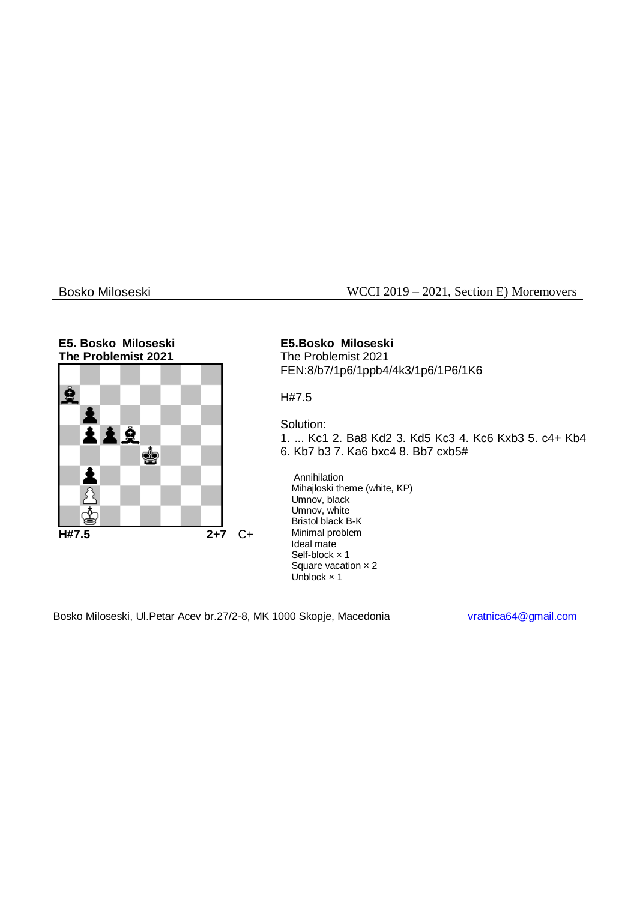# Bosko Miloseski WCCI 2019 – 2021, Section E) Moremovers